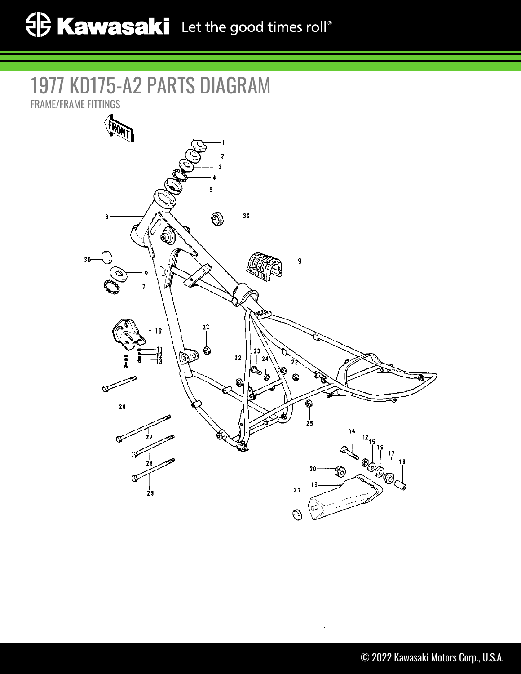## 1977 KD175-A2 PARTS DIAGRAM

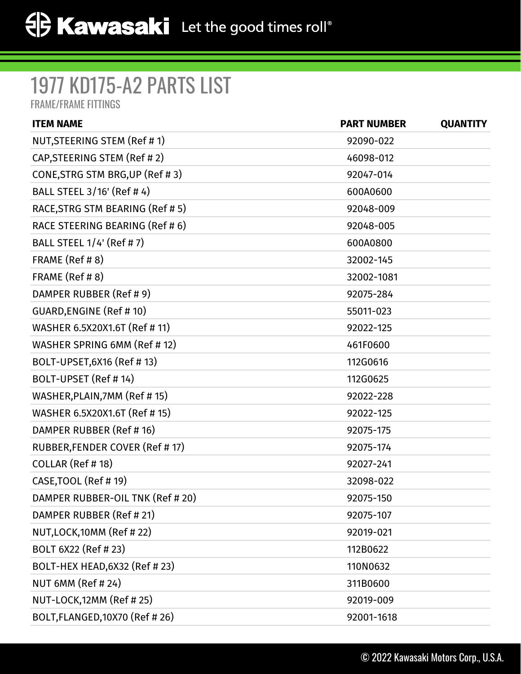## 1977 KD175-A2 PARTS LIST

FRAME/FRAME FITTINGS

| <b>ITEM NAME</b>                 | <b>PART NUMBER</b> | <b>QUANTITY</b> |
|----------------------------------|--------------------|-----------------|
| NUT, STEERING STEM (Ref # 1)     | 92090-022          |                 |
| CAP, STEERING STEM (Ref #2)      | 46098-012          |                 |
| CONE, STRG STM BRG, UP (Ref # 3) | 92047-014          |                 |
| BALL STEEL 3/16' (Ref # 4)       | 600A0600           |                 |
| RACE, STRG STM BEARING (Ref # 5) | 92048-009          |                 |
| RACE STEERING BEARING (Ref # 6)  | 92048-005          |                 |
| BALL STEEL 1/4' (Ref # 7)        | 600A0800           |                 |
| FRAME (Ref #8)                   | 32002-145          |                 |
| FRAME (Ref #8)                   | 32002-1081         |                 |
| DAMPER RUBBER (Ref # 9)          | 92075-284          |                 |
| <b>GUARD, ENGINE (Ref #10)</b>   | 55011-023          |                 |
| WASHER 6.5X20X1.6T (Ref # 11)    | 92022-125          |                 |
| WASHER SPRING 6MM (Ref # 12)     | 461F0600           |                 |
| BOLT-UPSET, 6X16 (Ref # 13)      | 112G0616           |                 |
| BOLT-UPSET (Ref # 14)            | 112G0625           |                 |
| WASHER, PLAIN, 7MM (Ref #15)     | 92022-228          |                 |
| WASHER 6.5X20X1.6T (Ref # 15)    | 92022-125          |                 |
| DAMPER RUBBER (Ref # 16)         | 92075-175          |                 |
| RUBBER, FENDER COVER (Ref # 17)  | 92075-174          |                 |
| COLLAR (Ref #18)                 | 92027-241          |                 |
| CASE, TOOL (Ref #19)             | 32098-022          |                 |
| DAMPER RUBBER-OIL TNK (Ref # 20) | 92075-150          |                 |
| DAMPER RUBBER (Ref # 21)         | 92075-107          |                 |
| NUT, LOCK, 10MM (Ref #22)        | 92019-021          |                 |
| BOLT 6X22 (Ref # 23)             | 112B0622           |                 |
| BOLT-HEX HEAD, 6X32 (Ref # 23)   | 110N0632           |                 |
| <b>NUT 6MM (Ref #24)</b>         | 311B0600           |                 |
| NUT-LOCK, 12MM (Ref # 25)        | 92019-009          |                 |
| BOLT, FLANGED, 10X70 (Ref # 26)  | 92001-1618         |                 |